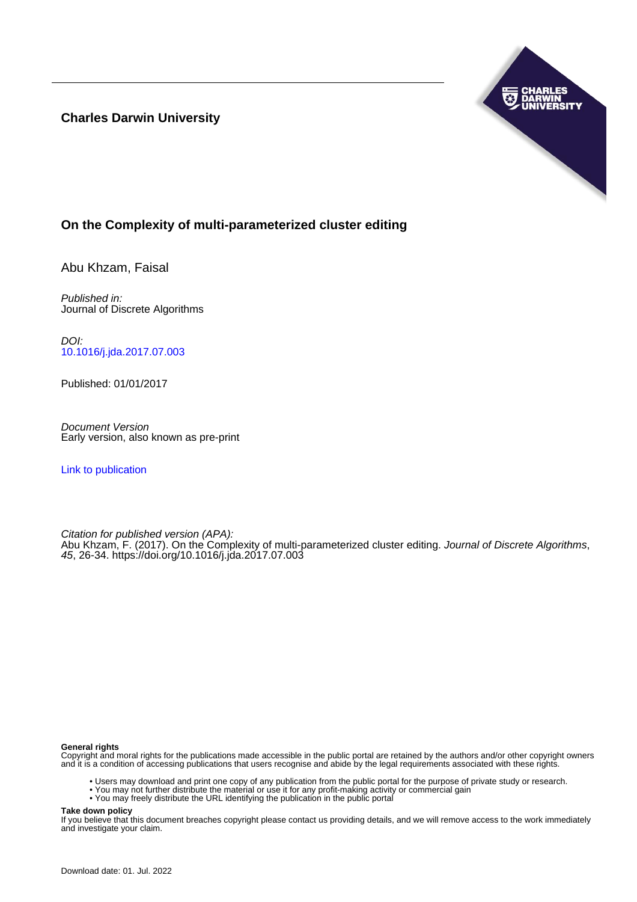**Charles Darwin University**



## **On the Complexity of multi-parameterized cluster editing**

Abu Khzam, Faisal

Published in: Journal of Discrete Algorithms

DOI: [10.1016/j.jda.2017.07.003](https://doi.org/10.1016/j.jda.2017.07.003)

Published: 01/01/2017

Document Version Early version, also known as pre-print

[Link to publication](https://researchers.cdu.edu.au/en/publications/035262c4-157e-42d6-835c-005d3a833ba8)

Citation for published version (APA): Abu Khzam, F. (2017). On the Complexity of multi-parameterized cluster editing. Journal of Discrete Algorithms, 45, 26-34. <https://doi.org/10.1016/j.jda.2017.07.003>

#### **General rights**

Copyright and moral rights for the publications made accessible in the public portal are retained by the authors and/or other copyright owners and it is a condition of accessing publications that users recognise and abide by the legal requirements associated with these rights.

- Users may download and print one copy of any publication from the public portal for the purpose of private study or research.
- You may not further distribute the material or use it for any profit-making activity or commercial gain
- You may freely distribute the URL identifying the publication in the public portal

**Take down policy**

If you believe that this document breaches copyright please contact us providing details, and we will remove access to the work immediately and investigate your claim.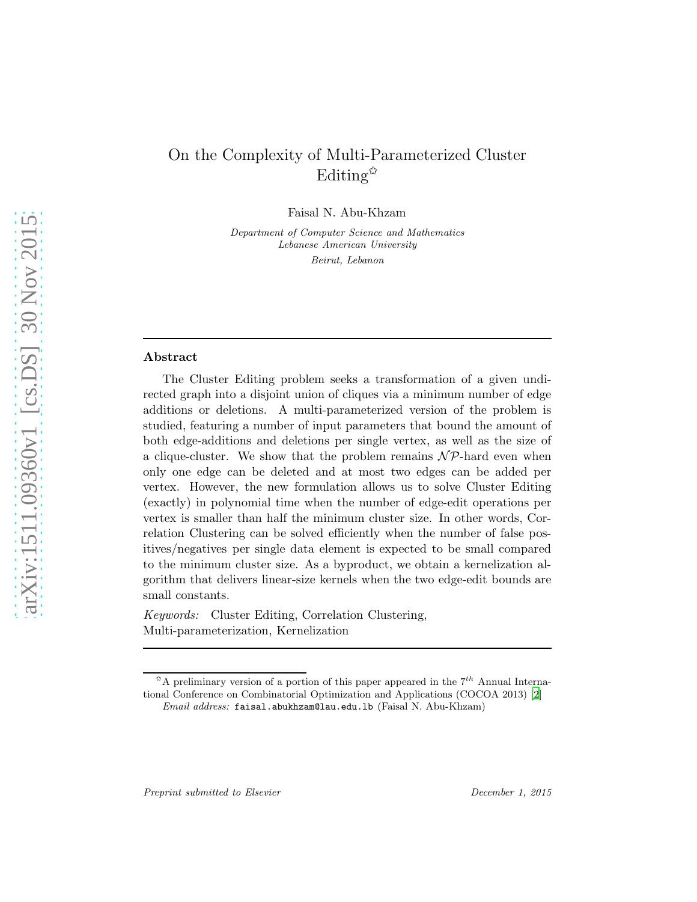# On the Complexity of Multi-Parameterized Cluster Editing $\mathbb{R}$

Faisal N. Abu-Khzam

Department of Computer Science and Mathematics Lebanese American University Beirut, Lebanon

### Abstract

The Cluster Editing problem seeks a transformation of a given undirected graph into a disjoint union of cliques via a minimum number of edge additions or deletions. A multi-parameterized version of the problem is studied, featuring a number of input parameters that bound the amount of both edge-additions and deletions per single vertex, as well as the size of a clique-cluster. We show that the problem remains  $\mathcal{NP}$ -hard even when only one edge can be deleted and at most two edges can be added per vertex. However, the new formulation allows us to solve Cluster Editing (exactly) in polynomial time when the number of edge-edit operations per vertex is smaller than half the minimum cluster size. In other words, Correlation Clustering can be solved efficiently when the number of false positives/negatives per single data element is expected to be small compared to the minimum cluster size. As a byproduct, we obtain a kernelization algorithm that delivers linear-size kernels when the two edge-edit bounds are small constants.

Keywords: Cluster Editing, Correlation Clustering, Multi-parameterization, Kernelization

 $A \triangle A$  preliminary version of a portion of this paper appeared in the  $7<sup>th</sup>$  Annual International Conference on Combinatorial Optimization and Applications (COCOA 2013) [\[2\]](#page-15-0) Email address: faisal.abukhzam@lau.edu.lb (Faisal N. Abu-Khzam)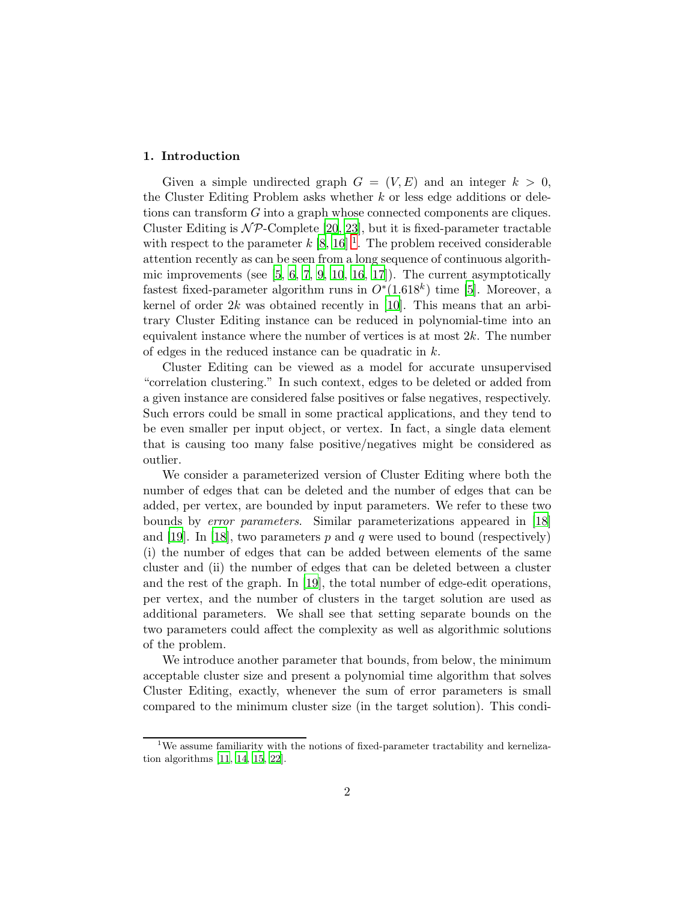## 1. Introduction

Given a simple undirected graph  $G = (V, E)$  and an integer  $k > 0$ , the Cluster Editing Problem asks whether  $k$  or less edge additions or deletions can transform G into a graph whose connected components are cliques. Cluster Editing is  $N\mathcal{P}$ -Complete [\[20](#page-17-0), [23\]](#page-17-1), but it is fixed-parameter tractable with respect to the parameter  $k$  [\[8](#page-16-0), [16](#page-17-2)]<sup>[1](#page-2-0)</sup>. The problem received considerable attention recently as can be seen from a long sequence of continuous algorithmic improvements (see  $[5, 6, 7, 9, 10, 16, 17]$  $[5, 6, 7, 9, 10, 16, 17]$  $[5, 6, 7, 9, 10, 16, 17]$  $[5, 6, 7, 9, 10, 16, 17]$  $[5, 6, 7, 9, 10, 16, 17]$  $[5, 6, 7, 9, 10, 16, 17]$  $[5, 6, 7, 9, 10, 16, 17]$  $[5, 6, 7, 9, 10, 16, 17]$  $[5, 6, 7, 9, 10, 16, 17]$  $[5, 6, 7, 9, 10, 16, 17]$  $[5, 6, 7, 9, 10, 16, 17]$  $[5, 6, 7, 9, 10, 16, 17]$ ). The current asymptotically fastest fixed-parameter algorithm runs in  $O<sup>*</sup>(1.618<sup>k</sup>)$  time [\[5](#page-16-1)]. Moreover, a kernel of order  $2k$  was obtained recently in [\[10](#page-16-5)]. This means that an arbitrary Cluster Editing instance can be reduced in polynomial-time into an equivalent instance where the number of vertices is at most 2k. The number of edges in the reduced instance can be quadratic in k.

Cluster Editing can be viewed as a model for accurate unsupervised "correlation clustering." In such context, edges to be deleted or added from a given instance are considered false positives or false negatives, respectively. Such errors could be small in some practical applications, and they tend to be even smaller per input object, or vertex. In fact, a single data element that is causing too many false positive/negatives might be considered as outlier.

We consider a parameterized version of Cluster Editing where both the number of edges that can be deleted and the number of edges that can be added, per vertex, are bounded by input parameters. We refer to these two bounds by error parameters. Similar parameterizations appeared in [\[18](#page-17-4)] and [\[19\]](#page-17-5). In [\[18\]](#page-17-4), two parameters p and q were used to bound (respectively) (i) the number of edges that can be added between elements of the same cluster and (ii) the number of edges that can be deleted between a cluster and the rest of the graph. In [\[19\]](#page-17-5), the total number of edge-edit operations, per vertex, and the number of clusters in the target solution are used as additional parameters. We shall see that setting separate bounds on the two parameters could affect the complexity as well as algorithmic solutions of the problem.

We introduce another parameter that bounds, from below, the minimum acceptable cluster size and present a polynomial time algorithm that solves Cluster Editing, exactly, whenever the sum of error parameters is small compared to the minimum cluster size (in the target solution). This condi-

<span id="page-2-0"></span> $1$ We assume familiarity with the notions of fixed-parameter tractability and kernelization algorithms [\[11](#page-16-6), [14,](#page-16-7) [15,](#page-16-8) [22\]](#page-17-6).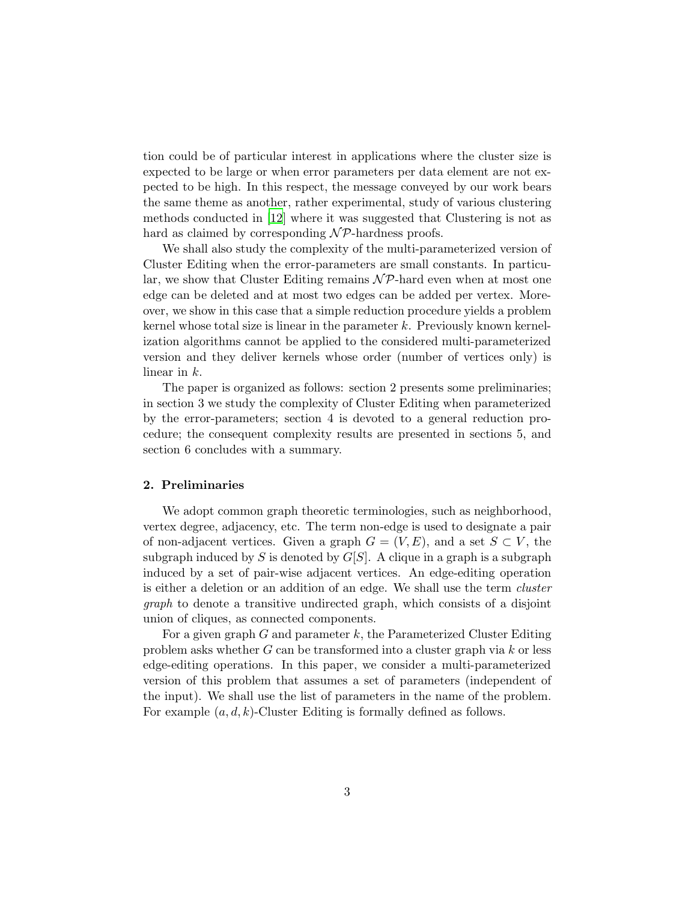tion could be of particular interest in applications where the cluster size is expected to be large or when error parameters per data element are not expected to be high. In this respect, the message conveyed by our work bears the same theme as another, rather experimental, study of various clustering methods conducted in [\[12](#page-16-9)] where it was suggested that Clustering is not as hard as claimed by corresponding  $N\mathcal{P}$ -hardness proofs.

We shall also study the complexity of the multi-parameterized version of Cluster Editing when the error-parameters are small constants. In particular, we show that Cluster Editing remains  $\mathcal{NP}$ -hard even when at most one edge can be deleted and at most two edges can be added per vertex. Moreover, we show in this case that a simple reduction procedure yields a problem kernel whose total size is linear in the parameter  $k$ . Previously known kernelization algorithms cannot be applied to the considered multi-parameterized version and they deliver kernels whose order (number of vertices only) is linear in k.

The paper is organized as follows: section 2 presents some preliminaries; in section 3 we study the complexity of Cluster Editing when parameterized by the error-parameters; section 4 is devoted to a general reduction procedure; the consequent complexity results are presented in sections 5, and section 6 concludes with a summary.

## 2. Preliminaries

We adopt common graph theoretic terminologies, such as neighborhood, vertex degree, adjacency, etc. The term non-edge is used to designate a pair of non-adjacent vertices. Given a graph  $G = (V, E)$ , and a set  $S \subset V$ , the subgraph induced by S is denoted by  $G[S]$ . A clique in a graph is a subgraph induced by a set of pair-wise adjacent vertices. An edge-editing operation is either a deletion or an addition of an edge. We shall use the term cluster graph to denote a transitive undirected graph, which consists of a disjoint union of cliques, as connected components.

For a given graph  $G$  and parameter  $k$ , the Parameterized Cluster Editing problem asks whether  $G$  can be transformed into a cluster graph via  $k$  or less edge-editing operations. In this paper, we consider a multi-parameterized version of this problem that assumes a set of parameters (independent of the input). We shall use the list of parameters in the name of the problem. For example  $(a, d, k)$ -Cluster Editing is formally defined as follows.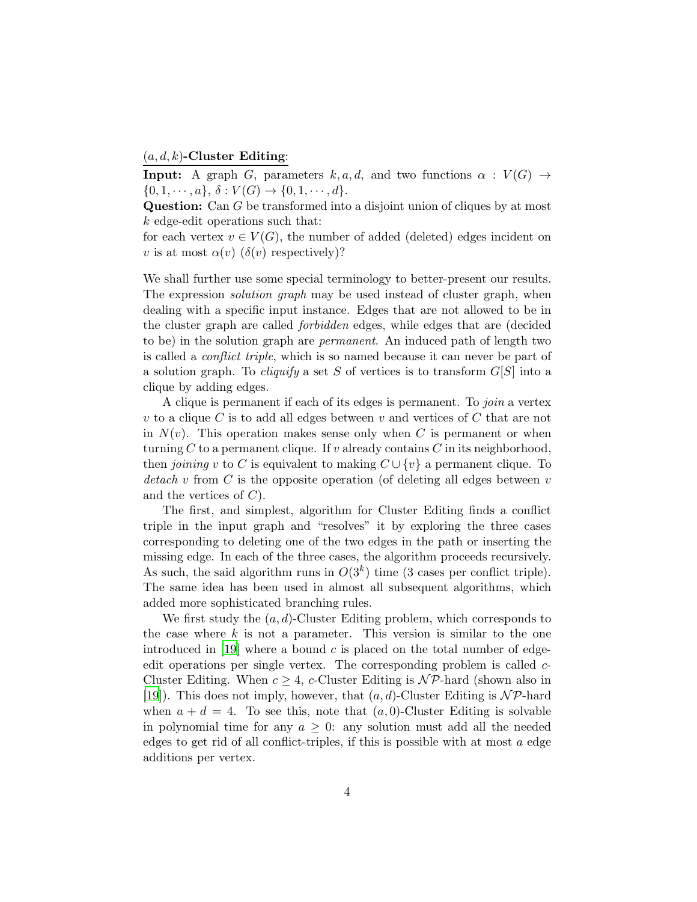## $(a, d, k)$ -Cluster Editing:

**Input:** A graph G, parameters k, a, d, and two functions  $\alpha : V(G) \rightarrow$  $\{0, 1, \cdots, a\}, \delta : V(G) \to \{0, 1, \cdots, d\}.$ 

Question: Can G be transformed into a disjoint union of cliques by at most k edge-edit operations such that:

for each vertex  $v \in V(G)$ , the number of added (deleted) edges incident on v is at most  $\alpha(v)$  ( $\delta(v)$  respectively)?

We shall further use some special terminology to better-present our results. The expression solution graph may be used instead of cluster graph, when dealing with a specific input instance. Edges that are not allowed to be in the cluster graph are called forbidden edges, while edges that are (decided to be) in the solution graph are permanent. An induced path of length two is called a conflict triple, which is so named because it can never be part of a solution graph. To *cliquify* a set S of vertices is to transform  $G[S]$  into a clique by adding edges.

A clique is permanent if each of its edges is permanent. To join a vertex  $v$  to a clique  $C$  is to add all edges between  $v$  and vertices of  $C$  that are not in  $N(v)$ . This operation makes sense only when C is permanent or when turning C to a permanent clique. If v already contains C in its neighborhood, then joining v to C is equivalent to making  $C \cup \{v\}$  a permanent clique. To detach v from C is the opposite operation (of deleting all edges between v and the vertices of  $C$ ).

The first, and simplest, algorithm for Cluster Editing finds a conflict triple in the input graph and "resolves" it by exploring the three cases corresponding to deleting one of the two edges in the path or inserting the missing edge. In each of the three cases, the algorithm proceeds recursively. As such, the said algorithm runs in  $O(3^k)$  time (3 cases per conflict triple). The same idea has been used in almost all subsequent algorithms, which added more sophisticated branching rules.

We first study the  $(a, d)$ -Cluster Editing problem, which corresponds to the case where  $k$  is not a parameter. This version is similar to the one introduced in [\[19\]](#page-17-5) where a bound c is placed on the total number of edgeedit operations per single vertex. The corresponding problem is called c-Cluster Editing. When  $c \geq 4$ , c-Cluster Editing is  $\mathcal{NP}$ -hard (shown also in [\[19\]](#page-17-5)). This does not imply, however, that  $(a, d)$ -Cluster Editing is  $\mathcal{NP}$ -hard when  $a + d = 4$ . To see this, note that  $(a, 0)$ -Cluster Editing is solvable in polynomial time for any  $a \geq 0$ : any solution must add all the needed edges to get rid of all conflict-triples, if this is possible with at most  $a$  edge additions per vertex.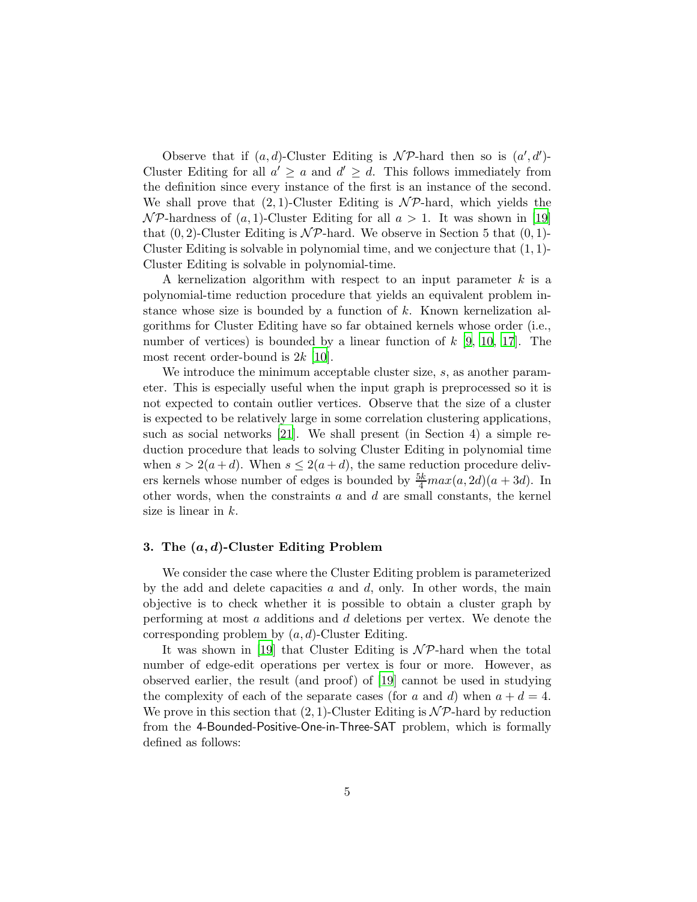Observe that if  $(a, d)$ -Cluster Editing is  $\mathcal{NP}$ -hard then so is  $(a', d')$ -Cluster Editing for all  $a' \ge a$  and  $d' \ge d$ . This follows immediately from the definition since every instance of the first is an instance of the second. We shall prove that  $(2, 1)$ -Cluster Editing is  $N\mathcal{P}$ -hard, which yields the  $\mathcal{NP}$ -hardness of  $(a, 1)$ -Cluster Editing for all  $a > 1$ . It was shown in [\[19](#page-17-5)] that  $(0, 2)$ -Cluster Editing is  $\mathcal{NP}$ -hard. We observe in Section 5 that  $(0, 1)$ -Cluster Editing is solvable in polynomial time, and we conjecture that  $(1, 1)$ -Cluster Editing is solvable in polynomial-time.

A kernelization algorithm with respect to an input parameter  $k$  is a polynomial-time reduction procedure that yields an equivalent problem instance whose size is bounded by a function of k. Known kernelization algorithms for Cluster Editing have so far obtained kernels whose order (i.e., number of vertices) is bounded by a linear function of  $k$  [\[9,](#page-16-4) [10](#page-16-5), [17](#page-17-3)]. The most recent order-bound is  $2k$  [\[10](#page-16-5)].

We introduce the minimum acceptable cluster size, s, as another parameter. This is especially useful when the input graph is preprocessed so it is not expected to contain outlier vertices. Observe that the size of a cluster is expected to be relatively large in some correlation clustering applications, such as social networks [\[21](#page-17-7)]. We shall present (in Section 4) a simple reduction procedure that leads to solving Cluster Editing in polynomial time when  $s > 2(a+d)$ . When  $s \leq 2(a+d)$ , the same reduction procedure delivers kernels whose number of edges is bounded by  $\frac{5k}{4}max(a, 2d)(a + 3d)$ . In other words, when the constraints  $a$  and  $d$  are small constants, the kernel size is linear in  $k$ .

#### 3. The  $(a, d)$ -Cluster Editing Problem

We consider the case where the Cluster Editing problem is parameterized by the add and delete capacities  $a$  and  $d$ , only. In other words, the main objective is to check whether it is possible to obtain a cluster graph by performing at most a additions and d deletions per vertex. We denote the corresponding problem by  $(a, d)$ -Cluster Editing.

It was shown in [\[19](#page-17-5)] that Cluster Editing is  $\mathcal{NP}$ -hard when the total number of edge-edit operations per vertex is four or more. However, as observed earlier, the result (and proof) of [\[19\]](#page-17-5) cannot be used in studying the complexity of each of the separate cases (for a and d) when  $a + d = 4$ . We prove in this section that  $(2, 1)$ -Cluster Editing is  $N \mathcal{P}$ -hard by reduction from the 4-Bounded-Positive-One-in-Three-SAT problem, which is formally defined as follows: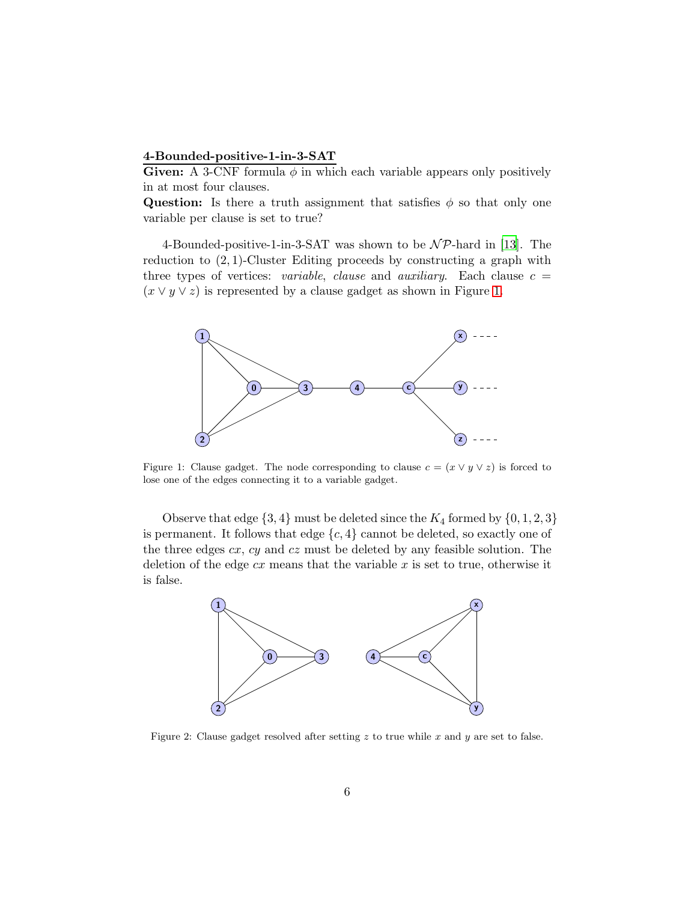## 4-Bounded-positive-1-in-3-SAT

Given: A 3-CNF formula  $\phi$  in which each variable appears only positively in at most four clauses.

Question: Is there a truth assignment that satisfies  $\phi$  so that only one variable per clause is set to true?

4-Bounded-positive-1-in-3-SAT was shown to be  $\mathcal{NP}$ -hard in [\[13](#page-16-10)]. The reduction to (2, 1)-Cluster Editing proceeds by constructing a graph with three types of vertices: variable, clause and auxiliary. Each clause  $c =$  $(x \vee y \vee z)$  is represented by a clause gadget as shown in Figure [1.](#page-6-0)



<span id="page-6-0"></span>Figure 1: Clause gadget. The node corresponding to clause  $c = (x \vee y \vee z)$  is forced to lose one of the edges connecting it to a variable gadget.

Observe that edge  $\{3, 4\}$  must be deleted since the  $K_4$  formed by  $\{0, 1, 2, 3\}$ is permanent. It follows that edge  ${c, 4}$  cannot be deleted, so exactly one of the three edges  $cx$ ,  $cy$  and  $cz$  must be deleted by any feasible solution. The deletion of the edge  $cx$  means that the variable  $x$  is set to true, otherwise it is false.



<span id="page-6-1"></span>Figure 2: Clause gadget resolved after setting  $z$  to true while  $x$  and  $y$  are set to false.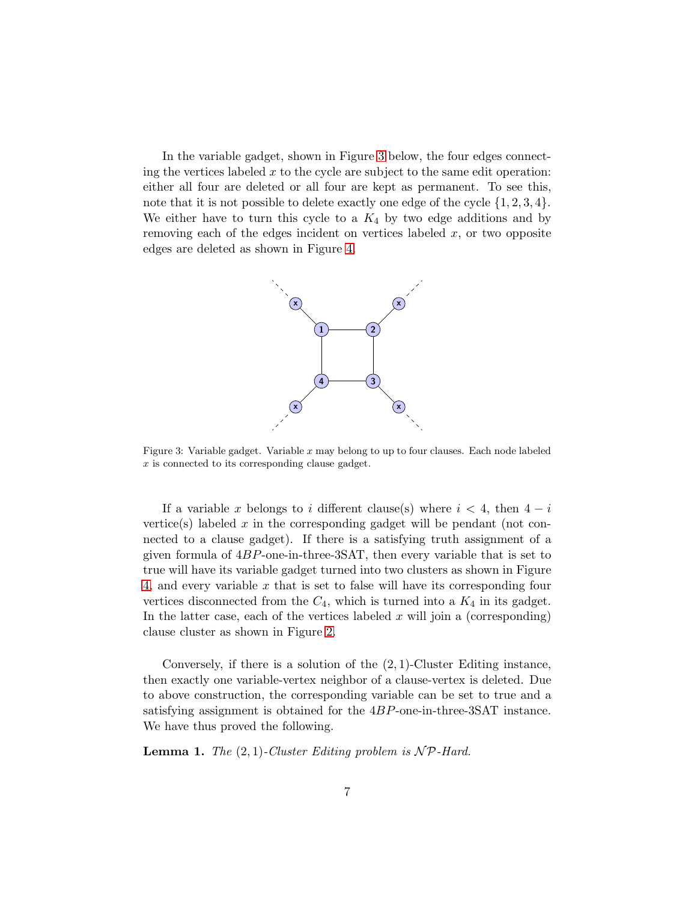In the variable gadget, shown in Figure [3](#page-7-0) below, the four edges connecting the vertices labeled  $x$  to the cycle are subject to the same edit operation: either all four are deleted or all four are kept as permanent. To see this, note that it is not possible to delete exactly one edge of the cycle  $\{1, 2, 3, 4\}$ . We either have to turn this cycle to a  $K_4$  by two edge additions and by removing each of the edges incident on vertices labeled  $x$ , or two opposite edges are deleted as shown in Figure [4.](#page-8-0)



<span id="page-7-0"></span>Figure 3: Variable gadget. Variable  $x$  may belong to up to four clauses. Each node labeled x is connected to its corresponding clause gadget.

If a variable x belongs to i different clause(s) where  $i < 4$ , then  $4 - i$ vertice(s) labeled x in the corresponding gadget will be pendant (not connected to a clause gadget). If there is a satisfying truth assignment of a given formula of  $4BP$ -one-in-three-3SAT, then every variable that is set to true will have its variable gadget turned into two clusters as shown in Figure [4,](#page-8-0) and every variable  $x$  that is set to false will have its corresponding four vertices disconnected from the  $C_4$ , which is turned into a  $K_4$  in its gadget. In the latter case, each of the vertices labeled  $x$  will join a (corresponding) clause cluster as shown in Figure [2.](#page-6-1)

Conversely, if there is a solution of the  $(2, 1)$ -Cluster Editing instance, then exactly one variable-vertex neighbor of a clause-vertex is deleted. Due to above construction, the corresponding variable can be set to true and a satisfying assignment is obtained for the 4BP-one-in-three-3SAT instance. We have thus proved the following.

**Lemma 1.** The  $(2, 1)$ -Cluster Editing problem is  $\mathcal{NP}$ -Hard.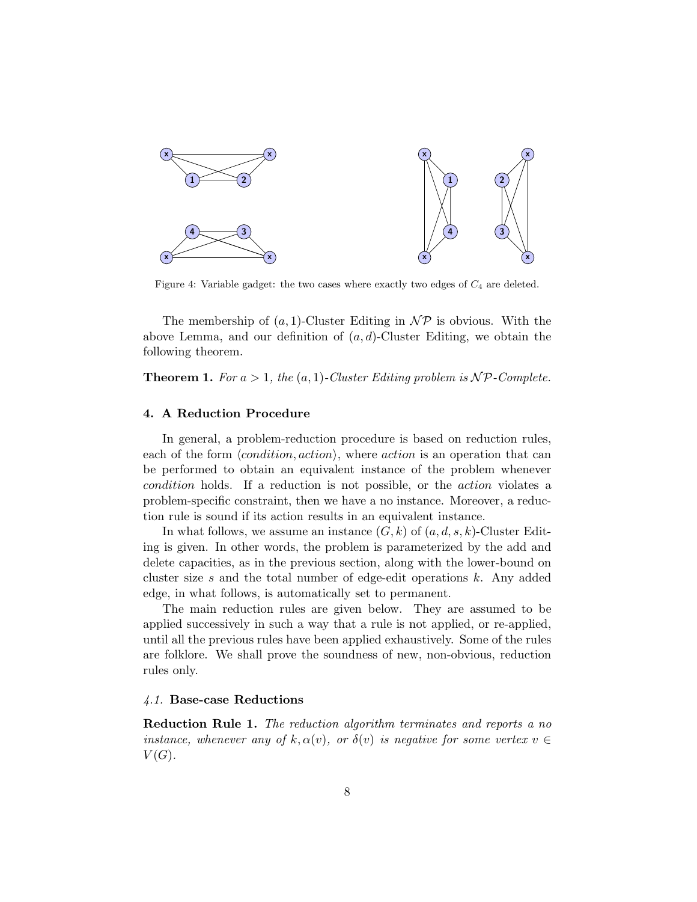

<span id="page-8-0"></span>Figure 4: Variable gadget: the two cases where exactly two edges of  $C_4$  are deleted.

The membership of  $(a, 1)$ -Cluster Editing in  $\mathcal{NP}$  is obvious. With the above Lemma, and our definition of  $(a, d)$ -Cluster Editing, we obtain the following theorem.

**Theorem 1.** For  $a > 1$ , the  $(a, 1)$ -Cluster Editing problem is  $\mathcal{NP}$ -Complete.

## 4. A Reduction Procedure

In general, a problem-reduction procedure is based on reduction rules, each of the form  $\langle condition, action \rangle$ , where action is an operation that can be performed to obtain an equivalent instance of the problem whenever condition holds. If a reduction is not possible, or the action violates a problem-specific constraint, then we have a no instance. Moreover, a reduction rule is sound if its action results in an equivalent instance.

In what follows, we assume an instance  $(G, k)$  of  $(a, d, s, k)$ -Cluster Editing is given. In other words, the problem is parameterized by the add and delete capacities, as in the previous section, along with the lower-bound on cluster size s and the total number of edge-edit operations  $k$ . Any added edge, in what follows, is automatically set to permanent.

The main reduction rules are given below. They are assumed to be applied successively in such a way that a rule is not applied, or re-applied, until all the previous rules have been applied exhaustively. Some of the rules are folklore. We shall prove the soundness of new, non-obvious, reduction rules only.

#### 4.1. Base-case Reductions

<span id="page-8-1"></span>Reduction Rule 1. The reduction algorithm terminates and reports a no instance, whenever any of k,  $\alpha(v)$ , or  $\delta(v)$  is negative for some vertex  $v \in$  $V(G)$ .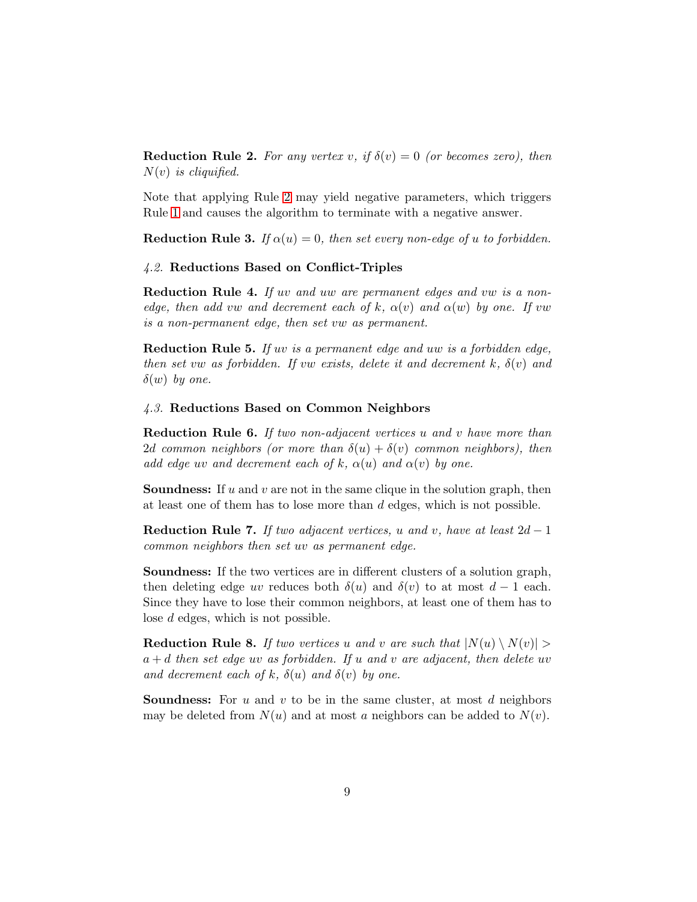<span id="page-9-0"></span>**Reduction Rule 2.** For any vertex v, if  $\delta(v) = 0$  (or becomes zero), then  $N(v)$  is cliquified.

Note that applying Rule [2](#page-9-0) may yield negative parameters, which triggers Rule [1](#page-8-1) and causes the algorithm to terminate with a negative answer.

**Reduction Rule 3.** If  $\alpha(u) = 0$ , then set every non-edge of u to forbidden.

#### 4.2. Reductions Based on Conflict-Triples

<span id="page-9-4"></span>Reduction Rule 4. If uv and uw are permanent edges and vw is a nonedge, then add vw and decrement each of k,  $\alpha(v)$  and  $\alpha(w)$  by one. If vw is a non-permanent edge, then set vw as permanent.

<span id="page-9-5"></span>Reduction Rule 5. If uv is a permanent edge and uw is a forbidden edge, then set vw as forbidden. If vw exists, delete it and decrement k,  $\delta(v)$  and  $\delta(w)$  by one.

#### 4.3. Reductions Based on Common Neighbors

<span id="page-9-2"></span>**Reduction Rule 6.** If two non-adjacent vertices u and v have more than 2d common neighbors (or more than  $\delta(u) + \delta(v)$  common neighbors), then add edge uv and decrement each of k,  $\alpha(u)$  and  $\alpha(v)$  by one.

**Soundness:** If u and v are not in the same clique in the solution graph, then at least one of them has to lose more than d edges, which is not possible.

<span id="page-9-1"></span>Reduction Rule 7. If two adjacent vertices, u and v, have at least  $2d - 1$ common neighbors then set uv as permanent edge.

Soundness: If the two vertices are in different clusters of a solution graph, then deleting edge uv reduces both  $\delta(u)$  and  $\delta(v)$  to at most  $d-1$  each. Since they have to lose their common neighbors, at least one of them has to lose d edges, which is not possible.

<span id="page-9-3"></span>**Reduction Rule 8.** If two vertices u and v are such that  $|N(u) \setminus N(v)| >$  $a + d$  then set edge uv as forbidden. If u and v are adjacent, then delete uv and decrement each of k,  $\delta(u)$  and  $\delta(v)$  by one.

**Soundness:** For u and v to be in the same cluster, at most d neighbors may be deleted from  $N(u)$  and at most a neighbors can be added to  $N(v)$ .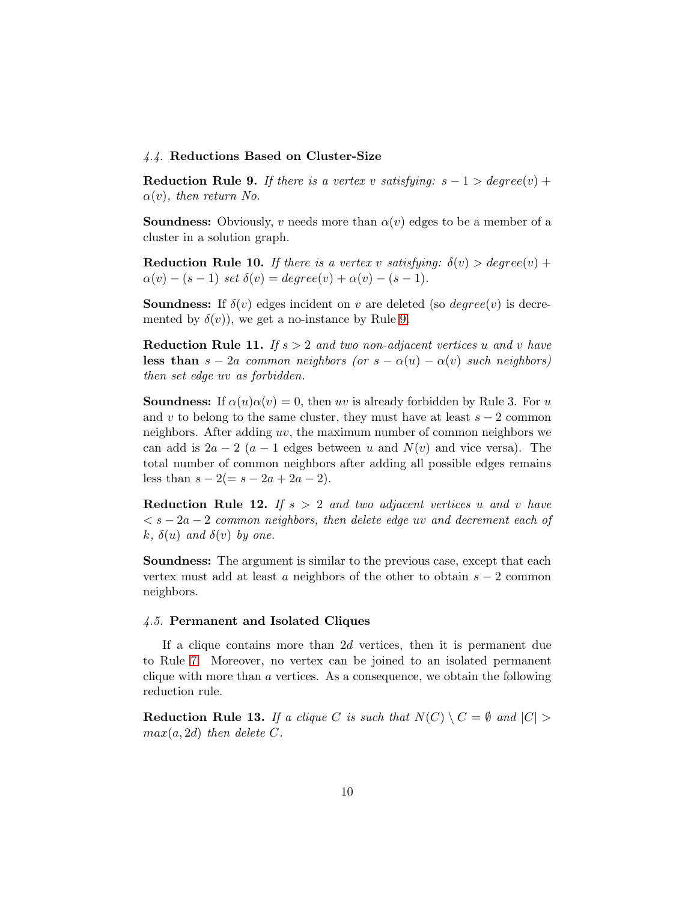## 4.4. Reductions Based on Cluster-Size

<span id="page-10-0"></span>Reduction Rule 9. If there is a vertex v satisfying:  $s - 1 > degree(v) +$  $\alpha(v)$ , then return No.

**Soundness:** Obviously, v needs more than  $\alpha(v)$  edges to be a member of a cluster in a solution graph.

Reduction Rule 10. If there is a vertex v satisfying:  $\delta(v) > degree(v) +$  $\alpha(v) - (s-1) \text{ set } \delta(v) = degree(v) + \alpha(v) - (s-1).$ 

**Soundness:** If  $\delta(v)$  edges incident on v are deleted (so  $degree(v)$  is decremented by  $\delta(v)$ , we get a no-instance by Rule [9.](#page-10-0)

<span id="page-10-1"></span>**Reduction Rule 11.** If  $s > 2$  and two non-adjacent vertices u and v have less than  $s - 2a$  common neighbors (or  $s - \alpha(u) - \alpha(v)$  such neighbors) then set edge uv as forbidden.

**Soundness:** If  $\alpha(u)\alpha(v) = 0$ , then uv is already forbidden by Rule 3. For u and v to belong to the same cluster, they must have at least  $s - 2$  common neighbors. After adding uv, the maximum number of common neighbors we can add is  $2a - 2(a - 1)$  edges between u and  $N(v)$  and vice versa). The total number of common neighbors after adding all possible edges remains less than  $s - 2(= s - 2a + 2a - 2).$ 

<span id="page-10-2"></span>**Reduction Rule 12.** If  $s > 2$  and two adjacent vertices u and v have  $\langle s - 2a - 2 \rangle$  common neighbors, then delete edge uv and decrement each of k,  $\delta(u)$  and  $\delta(v)$  by one.

Soundness: The argument is similar to the previous case, except that each vertex must add at least a neighbors of the other to obtain  $s - 2$  common neighbors.

#### 4.5. Permanent and Isolated Cliques

If a clique contains more than  $2d$  vertices, then it is permanent due to Rule [7.](#page-9-1) Moreover, no vertex can be joined to an isolated permanent clique with more than a vertices. As a consequence, we obtain the following reduction rule.

<span id="page-10-3"></span>**Reduction Rule 13.** If a clique C is such that  $N(C) \setminus C = \emptyset$  and  $|C| >$  $max(a, 2d)$  then delete C.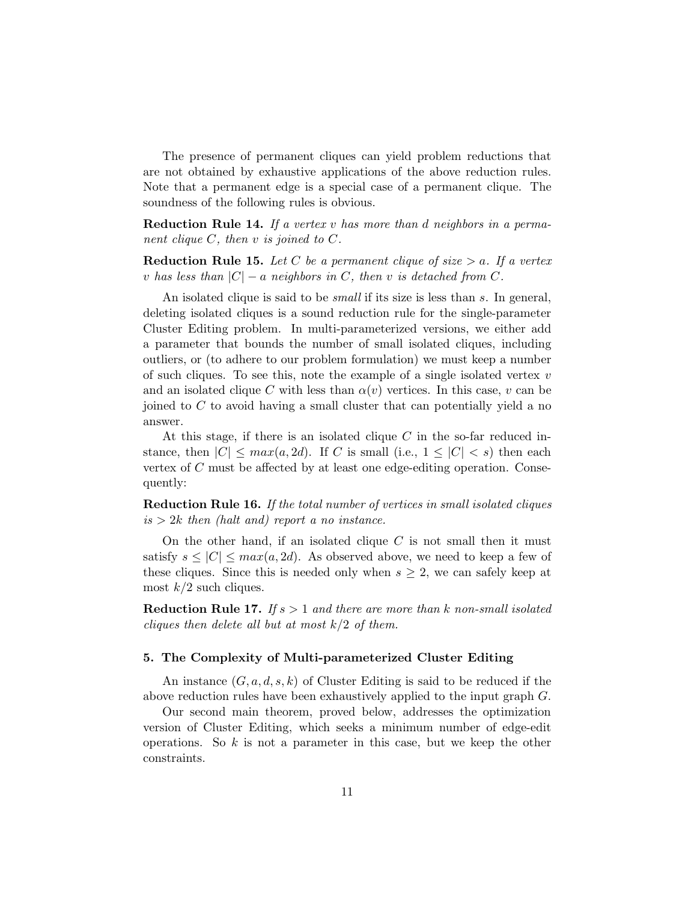The presence of permanent cliques can yield problem reductions that are not obtained by exhaustive applications of the above reduction rules. Note that a permanent edge is a special case of a permanent clique. The soundness of the following rules is obvious.

**Reduction Rule 14.** If a vertex v has more than d neighbors in a permanent clique  $C$ , then  $v$  is joined to  $C$ .

**Reduction Rule 15.** Let C be a permanent clique of size  $> a$ . If a vertex v has less than  $|C| - a$  neighbors in C, then v is detached from C.

An isolated clique is said to be *small* if its size is less than s. In general, deleting isolated cliques is a sound reduction rule for the single-parameter Cluster Editing problem. In multi-parameterized versions, we either add a parameter that bounds the number of small isolated cliques, including outliers, or (to adhere to our problem formulation) we must keep a number of such cliques. To see this, note the example of a single isolated vertex  $v$ and an isolated clique C with less than  $\alpha(v)$  vertices. In this case, v can be joined to  $C$  to avoid having a small cluster that can potentially yield a no answer.

At this stage, if there is an isolated clique  $C$  in the so-far reduced instance, then  $|C| \leq max(a, 2d)$ . If C is small (i.e.,  $1 \leq |C| < s$ ) then each vertex of C must be affected by at least one edge-editing operation. Consequently:

Reduction Rule 16. If the total number of vertices in small isolated cliques  $is \geq 2k$  then (halt and) report a no instance.

On the other hand, if an isolated clique  $C$  is not small then it must satisfy  $s \leq |C| \leq max(a, 2d)$ . As observed above, we need to keep a few of these cliques. Since this is needed only when  $s \geq 2$ , we can safely keep at most  $k/2$  such cliques.

<span id="page-11-0"></span>**Reduction Rule 17.** If  $s > 1$  and there are more than k non-small isolated cliques then delete all but at most  $k/2$  of them.

#### 5. The Complexity of Multi-parameterized Cluster Editing

An instance  $(G, a, d, s, k)$  of Cluster Editing is said to be reduced if the above reduction rules have been exhaustively applied to the input graph G.

Our second main theorem, proved below, addresses the optimization version of Cluster Editing, which seeks a minimum number of edge-edit operations. So  $k$  is not a parameter in this case, but we keep the other constraints.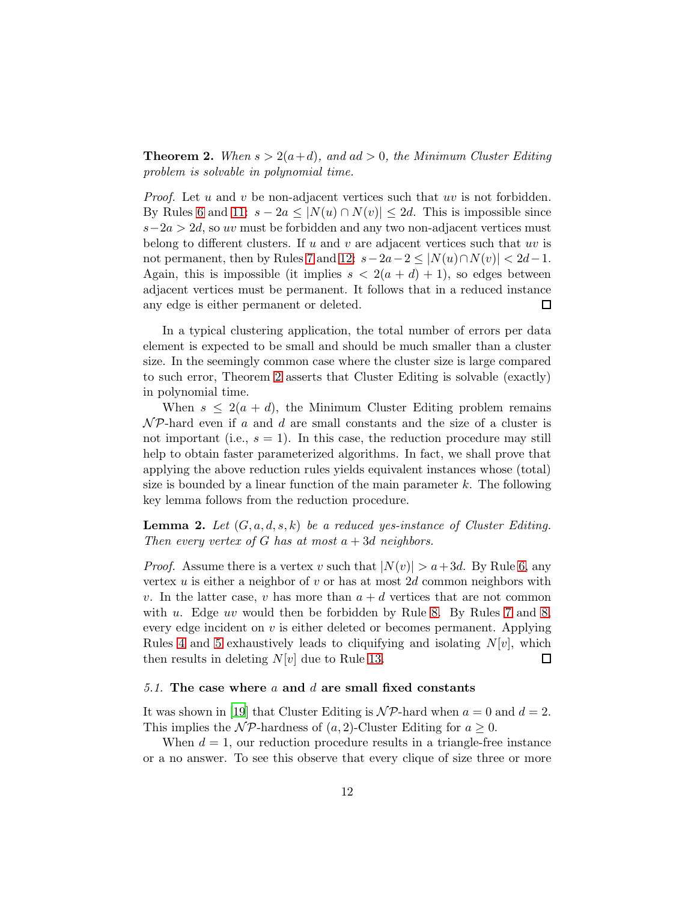<span id="page-12-0"></span>**Theorem 2.** When  $s > 2(a+d)$ , and  $ad > 0$ , the Minimum Cluster Editing problem is solvable in polynomial time.

*Proof.* Let u and v be non-adjacent vertices such that uv is not forbidden. By Rules [6](#page-9-2) and [11:](#page-10-1)  $s - 2a \leq |N(u) \cap N(v)| \leq 2d$ . This is impossible since  $s-2a > 2d$ , so uv must be forbidden and any two non-adjacent vertices must belong to different clusters. If u and v are adjacent vertices such that uv is not permanent, then by Rules [7](#page-9-1) and [12:](#page-10-2)  $s-2a-2 \leq |N(u) \cap N(v)| < 2d-1$ . Again, this is impossible (it implies  $s < 2(a + d) + 1$ ), so edges between adjacent vertices must be permanent. It follows that in a reduced instance any edge is either permanent or deleted.  $\Box$ 

In a typical clustering application, the total number of errors per data element is expected to be small and should be much smaller than a cluster size. In the seemingly common case where the cluster size is large compared to such error, Theorem [2](#page-12-0) asserts that Cluster Editing is solvable (exactly) in polynomial time.

When  $s \leq 2(a+d)$ , the Minimum Cluster Editing problem remains  $\mathcal{NP}$ -hard even if a and d are small constants and the size of a cluster is not important (i.e.,  $s = 1$ ). In this case, the reduction procedure may still help to obtain faster parameterized algorithms. In fact, we shall prove that applying the above reduction rules yields equivalent instances whose (total) size is bounded by a linear function of the main parameter  $k$ . The following key lemma follows from the reduction procedure.

<span id="page-12-1"></span>**Lemma 2.** Let  $(G, a, d, s, k)$  be a reduced yes-instance of Cluster Editing. Then every vertex of G has at most  $a + 3d$  neighbors.

*Proof.* Assume there is a vertex v such that  $|N(v)| > a+3d$ . By Rule [6,](#page-9-2) any vertex u is either a neighbor of v or has at most  $2d$  common neighbors with v. In the latter case, v has more than  $a + d$  vertices that are not common with  $u$ . Edge  $uv$  would then be forbidden by Rule [8.](#page-9-3) By Rules [7](#page-9-1) and [8,](#page-9-3) every edge incident on  $v$  is either deleted or becomes permanent. Applying Rules [4](#page-9-4) and [5](#page-9-5) exhaustively leads to cliquifying and isolating  $N[v]$ , which then results in deleting  $N[v]$  due to Rule [13.](#page-10-3)  $\Box$ 

#### 5.1. The case where  $a$  and  $d$  are small fixed constants

It was shown in [\[19\]](#page-17-5) that Cluster Editing is  $\mathcal{NP}$ -hard when  $a = 0$  and  $d = 2$ . This implies the  $\mathcal{NP}$ -hardness of  $(a, 2)$ -Cluster Editing for  $a \geq 0$ .

When  $d = 1$ , our reduction procedure results in a triangle-free instance or a no answer. To see this observe that every clique of size three or more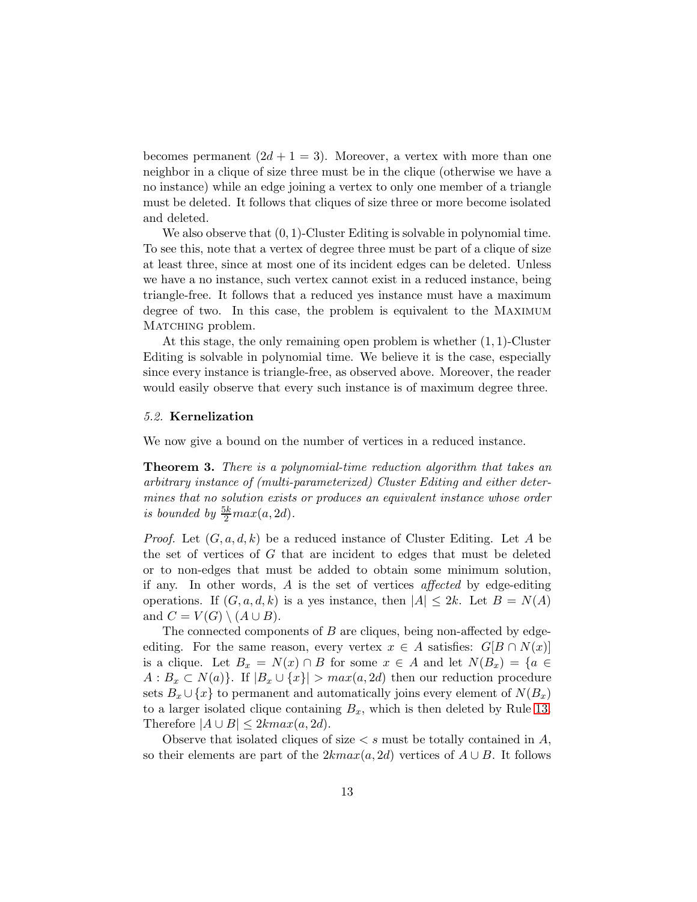becomes permanent  $(2d + 1 = 3)$ . Moreover, a vertex with more than one neighbor in a clique of size three must be in the clique (otherwise we have a no instance) while an edge joining a vertex to only one member of a triangle must be deleted. It follows that cliques of size three or more become isolated and deleted.

We also observe that  $(0, 1)$ -Cluster Editing is solvable in polynomial time. To see this, note that a vertex of degree three must be part of a clique of size at least three, since at most one of its incident edges can be deleted. Unless we have a no instance, such vertex cannot exist in a reduced instance, being triangle-free. It follows that a reduced yes instance must have a maximum degree of two. In this case, the problem is equivalent to the Maximum MATCHING problem.

At this stage, the only remaining open problem is whether (1, 1)-Cluster Editing is solvable in polynomial time. We believe it is the case, especially since every instance is triangle-free, as observed above. Moreover, the reader would easily observe that every such instance is of maximum degree three.

#### 5.2. Kernelization

We now give a bound on the number of vertices in a reduced instance.

<span id="page-13-0"></span>**Theorem 3.** There is a polynomial-time reduction algorithm that takes an arbitrary instance of (multi-parameterized) Cluster Editing and either determines that no solution exists or produces an equivalent instance whose order is bounded by  $\frac{5k}{2}max(a, 2d)$ .

*Proof.* Let  $(G, a, d, k)$  be a reduced instance of Cluster Editing. Let A be the set of vertices of G that are incident to edges that must be deleted or to non-edges that must be added to obtain some minimum solution, if any. In other words,  $A$  is the set of vertices affected by edge-editing operations. If  $(G, a, d, k)$  is a yes instance, then  $|A| \leq 2k$ . Let  $B = N(A)$ and  $C = V(G) \setminus (A \cup B)$ .

The connected components of  $B$  are cliques, being non-affected by edgeediting. For the same reason, every vertex  $x \in A$  satisfies:  $G[B \cap N(x)]$ is a clique. Let  $B_x = N(x) \cap B$  for some  $x \in A$  and let  $N(B_x) = \{a \in A\}$  $A: B_x \subset N(a)$ . If  $|B_x \cup \{x\}| > max(a, 2d)$  then our reduction procedure sets  $B_x \cup \{x\}$  to permanent and automatically joins every element of  $N(B_x)$ to a larger isolated clique containing  $B_x$ , which is then deleted by Rule [13.](#page-10-3) Therefore  $|A \cup B| \leq 2kmax(a, 2d)$ .

Observe that isolated cliques of size  $\lt s$  must be totally contained in A, so their elements are part of the  $2kmax(a, 2d)$  vertices of  $A \cup B$ . It follows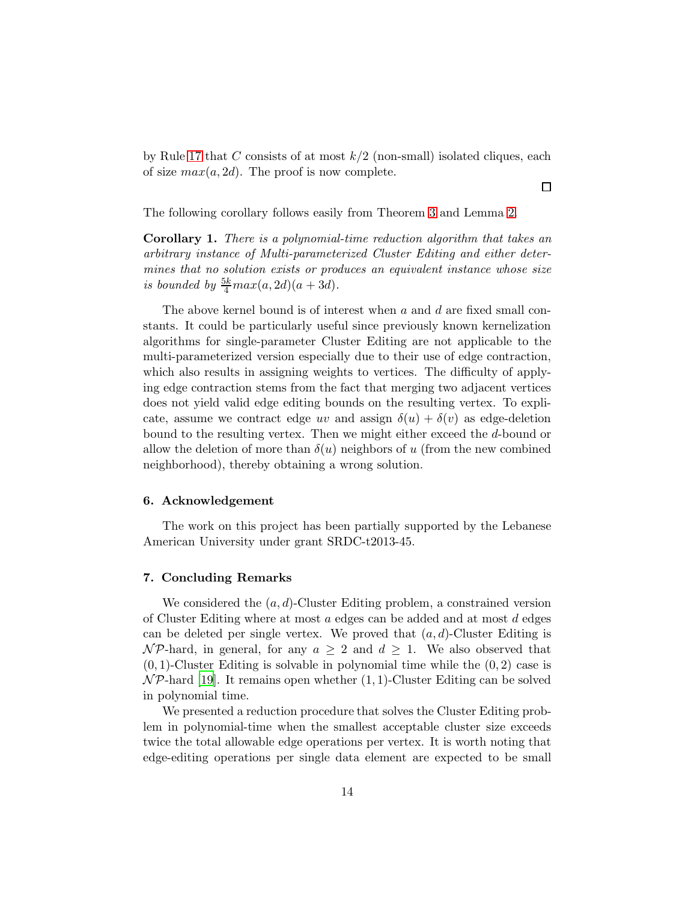by Rule [17](#page-11-0) that C consists of at most  $k/2$  (non-small) isolated cliques, each of size  $max(a, 2d)$ . The proof is now complete.

 $\Box$ 

The following corollary follows easily from Theorem [3](#page-13-0) and Lemma [2.](#page-12-1)

Corollary 1. There is a polynomial-time reduction algorithm that takes an arbitrary instance of Multi-parameterized Cluster Editing and either determines that no solution exists or produces an equivalent instance whose size is bounded by  $\frac{5k}{4}max(a, 2d)(a + 3d)$ .

The above kernel bound is of interest when  $a$  and  $d$  are fixed small constants. It could be particularly useful since previously known kernelization algorithms for single-parameter Cluster Editing are not applicable to the multi-parameterized version especially due to their use of edge contraction, which also results in assigning weights to vertices. The difficulty of applying edge contraction stems from the fact that merging two adjacent vertices does not yield valid edge editing bounds on the resulting vertex. To explicate, assume we contract edge uv and assign  $\delta(u) + \delta(v)$  as edge-deletion bound to the resulting vertex. Then we might either exceed the d-bound or allow the deletion of more than  $\delta(u)$  neighbors of u (from the new combined neighborhood), thereby obtaining a wrong solution.

#### 6. Acknowledgement

The work on this project has been partially supported by the Lebanese American University under grant SRDC-t2013-45.

#### 7. Concluding Remarks

We considered the  $(a, d)$ -Cluster Editing problem, a constrained version of Cluster Editing where at most a edges can be added and at most d edges can be deleted per single vertex. We proved that  $(a, d)$ -Cluster Editing is  $\mathcal{NP}$ -hard, in general, for any  $a \geq 2$  and  $d \geq 1$ . We also observed that  $(0, 1)$ -Cluster Editing is solvable in polynomial time while the  $(0, 2)$  case is  $\mathcal{NP}$ -hard [\[19](#page-17-5)]. It remains open whether (1, 1)-Cluster Editing can be solved in polynomial time.

We presented a reduction procedure that solves the Cluster Editing problem in polynomial-time when the smallest acceptable cluster size exceeds twice the total allowable edge operations per vertex. It is worth noting that edge-editing operations per single data element are expected to be small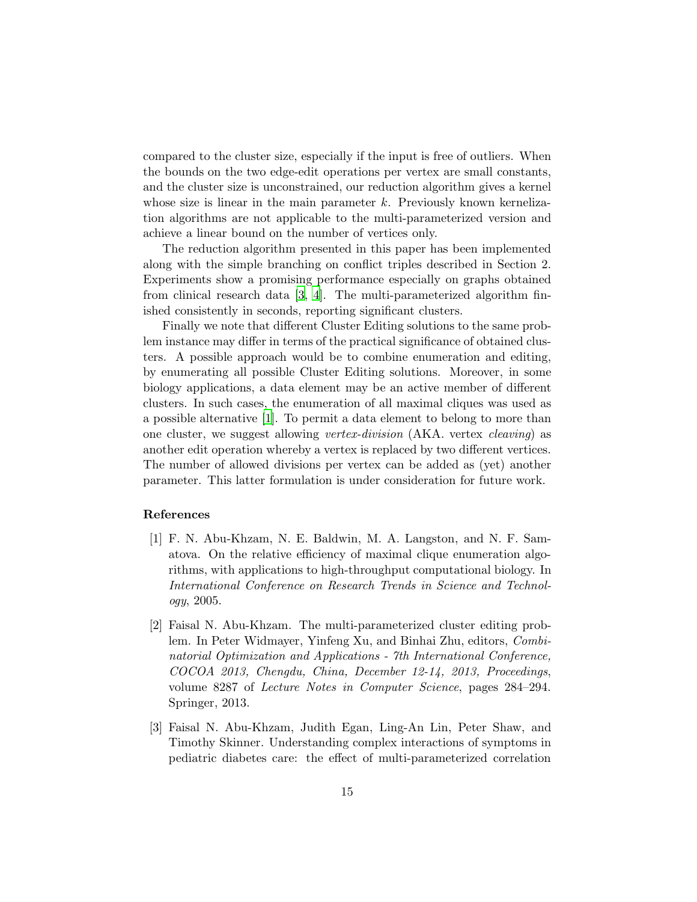compared to the cluster size, especially if the input is free of outliers. When the bounds on the two edge-edit operations per vertex are small constants, and the cluster size is unconstrained, our reduction algorithm gives a kernel whose size is linear in the main parameter  $k$ . Previously known kernelization algorithms are not applicable to the multi-parameterized version and achieve a linear bound on the number of vertices only.

The reduction algorithm presented in this paper has been implemented along with the simple branching on conflict triples described in Section 2. Experiments show a promising performance especially on graphs obtained from clinical research data [\[3](#page-15-1), [4\]](#page-16-11). The multi-parameterized algorithm finished consistently in seconds, reporting significant clusters.

Finally we note that different Cluster Editing solutions to the same problem instance may differ in terms of the practical significance of obtained clusters. A possible approach would be to combine enumeration and editing, by enumerating all possible Cluster Editing solutions. Moreover, in some biology applications, a data element may be an active member of different clusters. In such cases, the enumeration of all maximal cliques was used as a possible alternative [\[1](#page-15-2)]. To permit a data element to belong to more than one cluster, we suggest allowing vertex-division (AKA. vertex cleaving) as another edit operation whereby a vertex is replaced by two different vertices. The number of allowed divisions per vertex can be added as (yet) another parameter. This latter formulation is under consideration for future work.

## References

- <span id="page-15-2"></span>[1] F. N. Abu-Khzam, N. E. Baldwin, M. A. Langston, and N. F. Samatova. On the relative efficiency of maximal clique enumeration algorithms, with applications to high-throughput computational biology. In International Conference on Research Trends in Science and Technology, 2005.
- <span id="page-15-0"></span>[2] Faisal N. Abu-Khzam. The multi-parameterized cluster editing problem. In Peter Widmayer, Yinfeng Xu, and Binhai Zhu, editors, Combinatorial Optimization and Applications - 7th International Conference, COCOA 2013, Chengdu, China, December 12-14, 2013, Proceedings, volume 8287 of Lecture Notes in Computer Science, pages 284–294. Springer, 2013.
- <span id="page-15-1"></span>[3] Faisal N. Abu-Khzam, Judith Egan, Ling-An Lin, Peter Shaw, and Timothy Skinner. Understanding complex interactions of symptoms in pediatric diabetes care: the effect of multi-parameterized correlation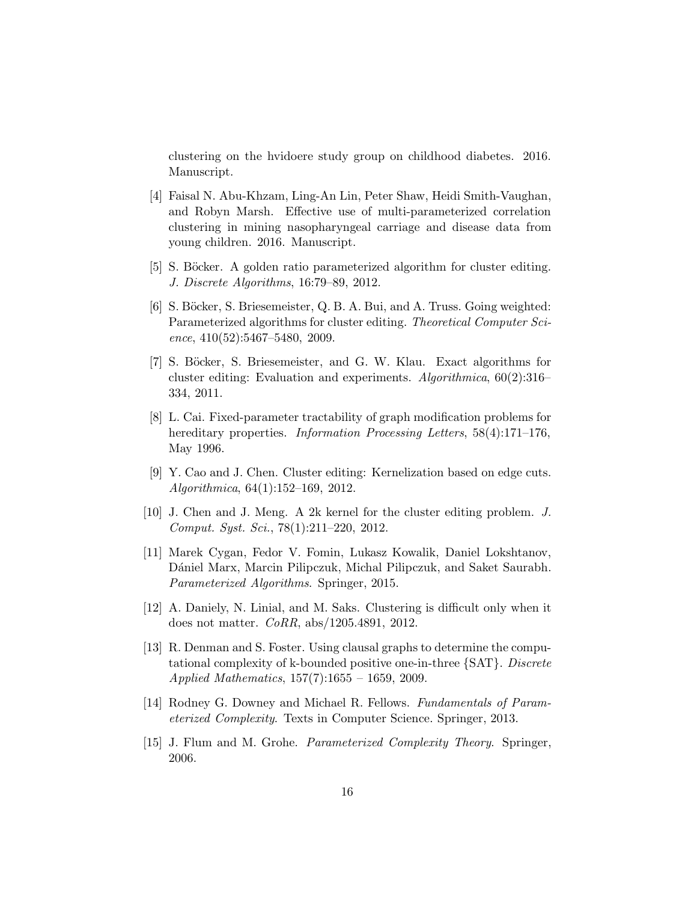clustering on the hvidoere study group on childhood diabetes. 2016. Manuscript.

- <span id="page-16-11"></span>[4] Faisal N. Abu-Khzam, Ling-An Lin, Peter Shaw, Heidi Smith-Vaughan, and Robyn Marsh. Effective use of multi-parameterized correlation clustering in mining nasopharyngeal carriage and disease data from young children. 2016. Manuscript.
- <span id="page-16-1"></span>[5] S. Böcker. A golden ratio parameterized algorithm for cluster editing. J. Discrete Algorithms, 16:79–89, 2012.
- <span id="page-16-2"></span>[6] S. Böcker, S. Briesemeister, Q. B. A. Bui, and A. Truss. Going weighted: Parameterized algorithms for cluster editing. Theoretical Computer Science, 410(52):5467–5480, 2009.
- <span id="page-16-3"></span>[7] S. Böcker, S. Briesemeister, and G. W. Klau. Exact algorithms for cluster editing: Evaluation and experiments. Algorithmica, 60(2):316– 334, 2011.
- <span id="page-16-0"></span>[8] L. Cai. Fixed-parameter tractability of graph modification problems for hereditary properties. *Information Processing Letters*, 58(4):171–176, May 1996.
- <span id="page-16-4"></span>[9] Y. Cao and J. Chen. Cluster editing: Kernelization based on edge cuts. Algorithmica, 64(1):152–169, 2012.
- <span id="page-16-5"></span>[10] J. Chen and J. Meng. A 2k kernel for the cluster editing problem. J. Comput. Syst. Sci., 78(1):211–220, 2012.
- <span id="page-16-6"></span>[11] Marek Cygan, Fedor V. Fomin, Lukasz Kowalik, Daniel Lokshtanov, Dániel Marx, Marcin Pilipczuk, Michal Pilipczuk, and Saket Saurabh. Parameterized Algorithms. Springer, 2015.
- <span id="page-16-9"></span>[12] A. Daniely, N. Linial, and M. Saks. Clustering is difficult only when it does not matter. CoRR, abs/1205.4891, 2012.
- <span id="page-16-10"></span>[13] R. Denman and S. Foster. Using clausal graphs to determine the computational complexity of k-bounded positive one-in-three {SAT}. Discrete Applied Mathematics, 157(7):1655 – 1659, 2009.
- <span id="page-16-7"></span>[14] Rodney G. Downey and Michael R. Fellows. Fundamentals of Parameterized Complexity. Texts in Computer Science. Springer, 2013.
- <span id="page-16-8"></span>[15] J. Flum and M. Grohe. Parameterized Complexity Theory. Springer, 2006.